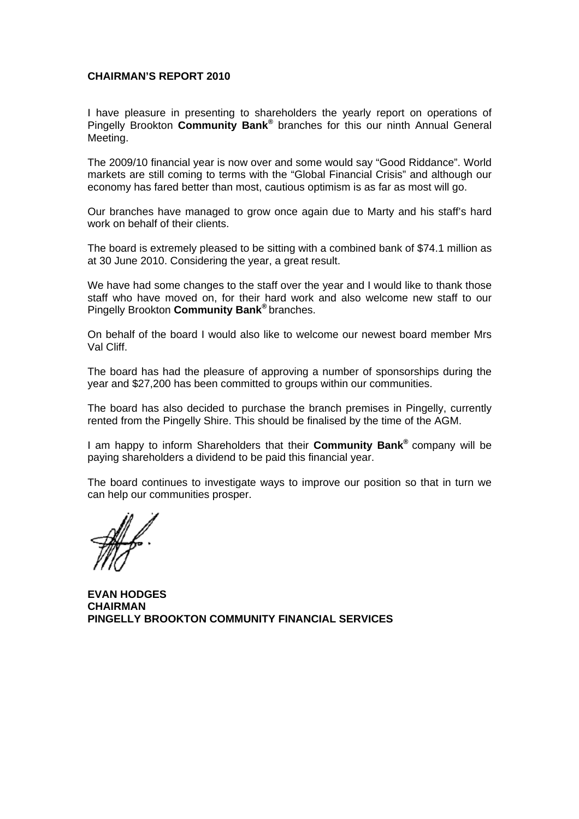#### **CHAIRMAN'S REPORT 2010**

I have pleasure in presenting to shareholders the yearly report on operations of Pingelly Brookton **Community Bank<sup>®</sup> branches for this our ninth Annual General** Meeting.

The 2009/10 financial year is now over and some would say "Good Riddance". World markets are still coming to terms with the "Global Financial Crisis" and although our economy has fared better than most, cautious optimism is as far as most will go.

Our branches have managed to grow once again due to Marty and his staff's hard work on behalf of their clients.

The board is extremely pleased to be sitting with a combined bank of \$74.1 million as at 30 June 2010. Considering the year, a great result.

We have had some changes to the staff over the year and I would like to thank those staff who have moved on, for their hard work and also welcome new staff to our Pingelly Brookton **Community Bank®** branches.

On behalf of the board I would also like to welcome our newest board member Mrs Val Cliff.

The board has had the pleasure of approving a number of sponsorships during the year and \$27,200 has been committed to groups within our communities.

The board has also decided to purchase the branch premises in Pingelly, currently rented from the Pingelly Shire. This should be finalised by the time of the AGM.

I am happy to inform Shareholders that their **Community Bank®** company will be paying shareholders a dividend to be paid this financial year.

The board continues to investigate ways to improve our position so that in turn we can help our communities prosper.

**EVAN HODGES CHAIRMAN PINGELLY BROOKTON COMMUNITY FINANCIAL SERVICES**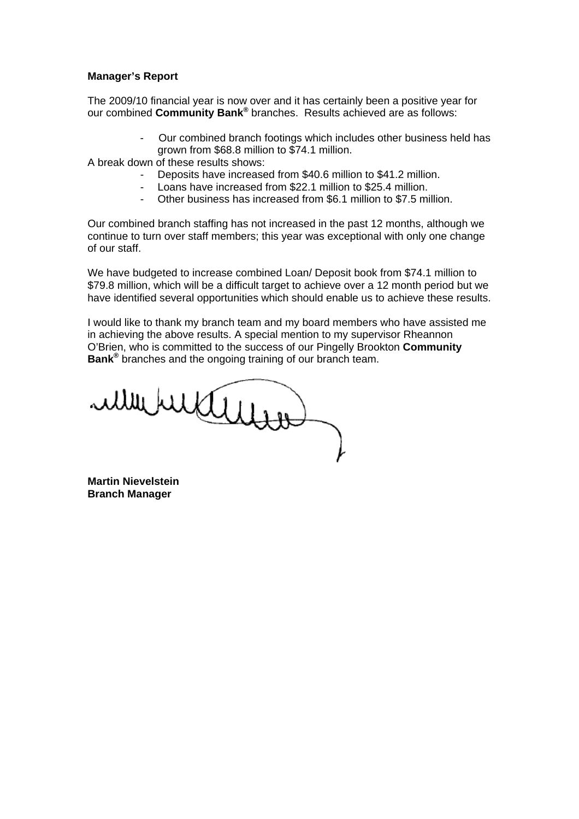#### **Manager's Report**

The 2009/10 financial year is now over and it has certainly been a positive year for our combined **Community Bank®** branches. Results achieved are as follows:

> - Our combined branch footings which includes other business held has grown from \$68.8 million to \$74.1 million.

A break down of these results shows:

- Deposits have increased from \$40.6 million to \$41.2 million.
- Loans have increased from \$22.1 million to \$25.4 million.
- Other business has increased from \$6.1 million to \$7.5 million.

Our combined branch staffing has not increased in the past 12 months, although we continue to turn over staff members; this year was exceptional with only one change of our staff.

We have budgeted to increase combined Loan/ Deposit book from \$74.1 million to \$79.8 million, which will be a difficult target to achieve over a 12 month period but we have identified several opportunities which should enable us to achieve these results.

I would like to thank my branch team and my board members who have assisted me in achieving the above results. A special mention to my supervisor Rheannon O'Brien, who is committed to the success of our Pingelly Brookton **Community Bank®** branches and the ongoing training of our branch team.

ullibulation

**Martin Nievelstein Branch Manager**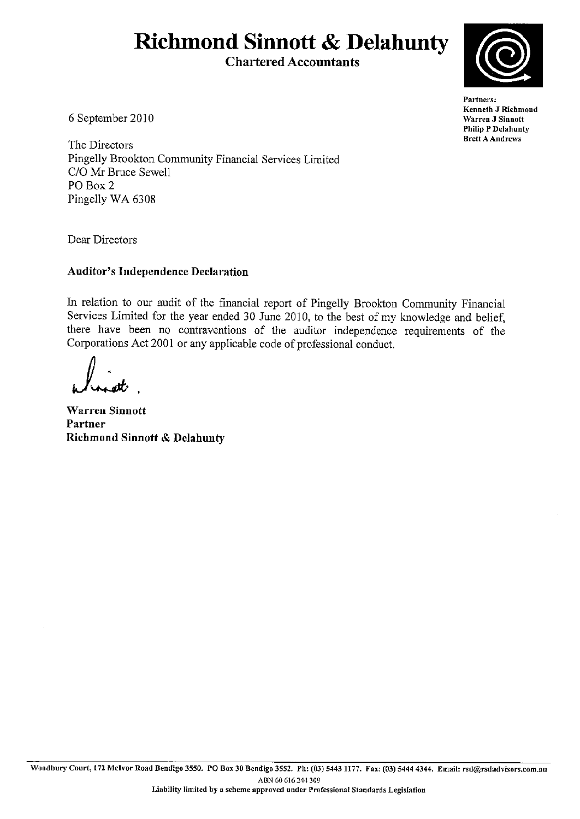# **Richmond Sinnott & Delahunty**

**Chartered Accountants** 



Partners: Kenneth J Richmond Warren J Sinnott **Philip P Delahunty Brett A Andrews** 

6 September 2010

The Directors Pingelly Brookton Community Financial Services Limited C/O Mr Bruce Sewell PO Box 2 Pingelly WA 6308

Dear Directors

## **Auditor's Independence Declaration**

In relation to our audit of the financial report of Pingelly Brookton Community Financial Services Limited for the year ended 30 June 2010, to the best of my knowledge and belief, there have been no contraventions of the auditor independence requirements of the Corporations Act 2001 or any applicable code of professional conduct.

**Warren Sinnott** Partner **Richmond Sinnott & Delahunty**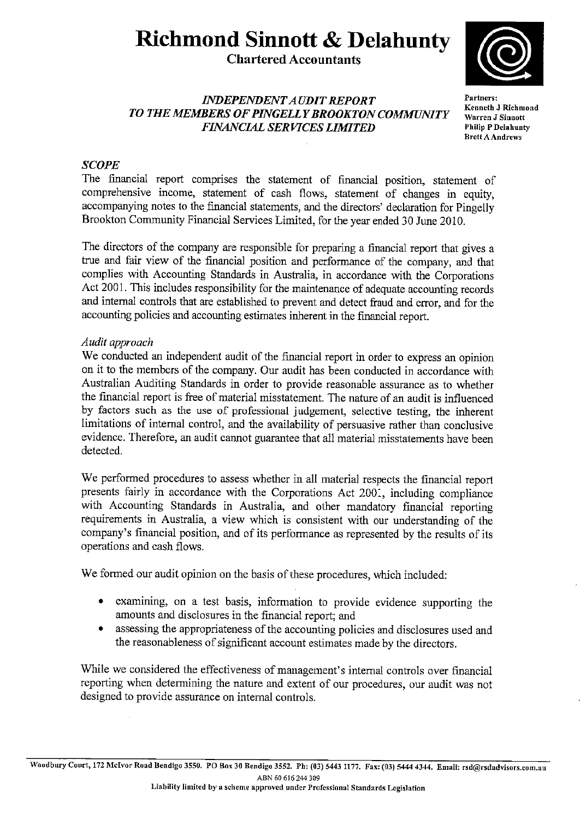## **Richmond Sinnott & Delahunty**

## **Chartered Accountants**



## **INDEPENDENT AUDIT REPORT** TO THE MEMBERS OF PINGELLY BROOKTON COMMUNITY **FINANCIAL SERVICES LIMITED**

Partners: Kenneth J Richmond Warren J Sinnott **Philip P Delahunty Brett A Andrews** 

## **SCOPE**

The financial report comprises the statement of financial position, statement of comprehensive income, statement of cash flows, statement of changes in equity, accompanying notes to the financial statements, and the directors' declaration for Pingelly Brookton Community Financial Services Limited, for the year ended 30 June 2010.

The directors of the company are responsible for preparing a financial report that gives a true and fair view of the financial position and performance of the company, and that complies with Accounting Standards in Australia, in accordance with the Corporations Act 2001. This includes responsibility for the maintenance of adequate accounting records and internal controls that are established to prevent and detect fraud and error, and for the accounting policies and accounting estimates inherent in the financial report.

## Audit approach

We conducted an independent audit of the financial report in order to express an opinion on it to the members of the company. Our audit has been conducted in accordance with Australian Auditing Standards in order to provide reasonable assurance as to whether the financial report is free of material misstatement. The nature of an audit is influenced by factors such as the use of professional judgement, selective testing, the inherent limitations of internal control, and the availability of persuasive rather than conclusive evidence. Therefore, an audit cannot guarantee that all material misstatements have been detected.

We performed procedures to assess whether in all material respects the financial report presents fairly in accordance with the Corporations Act 2001, including compliance with Accounting Standards in Australia, and other mandatory financial reporting requirements in Australia, a view which is consistent with our understanding of the company's financial position, and of its performance as represented by the results of its operations and cash flows.

We formed our audit opinion on the basis of these procedures, which included:

- examining, on a test basis, information to provide evidence supporting the  $\bullet$ amounts and disclosures in the financial report; and
- assessing the appropriateness of the accounting policies and disclosures used and  $\bullet$ the reasonableness of significant account estimates made by the directors.

While we considered the effectiveness of management's internal controls over financial reporting when determining the nature and extent of our procedures, our audit was not designed to provide assurance on internal controls.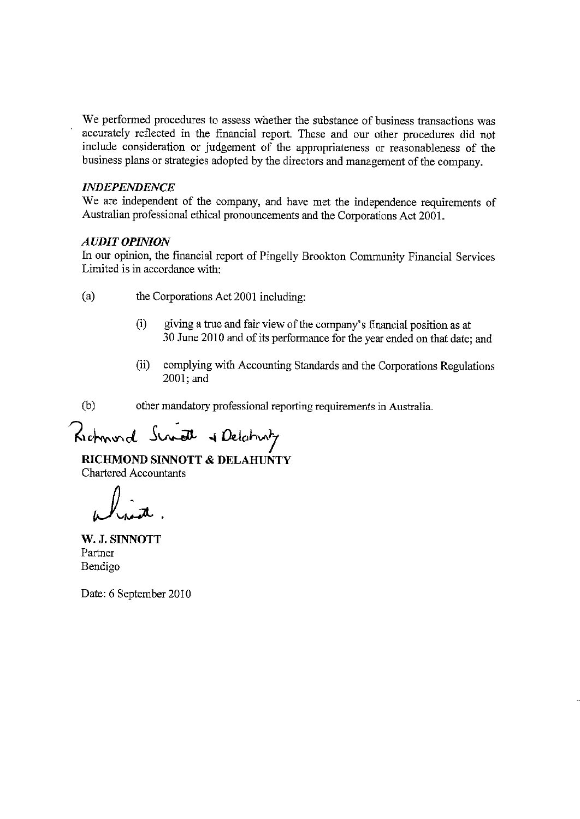We performed procedures to assess whether the substance of business transactions was accurately reflected in the financial report. These and our other procedures did not include consideration or judgement of the appropriateness or reasonableness of the business plans or strategies adopted by the directors and management of the company.

#### **INDEPENDENCE**

We are independent of the company, and have met the independence requirements of Australian professional ethical pronouncements and the Corporations Act 2001.

#### **AUDIT OPINION**

In our opinion, the financial report of Pingelly Brookton Community Financial Services Limited is in accordance with:

- $(a)$ the Corporations Act 2001 including:
	- $(1)$ giving a true and fair view of the company's financial position as at 30 June 2010 and of its performance for the year ended on that date; and
	- $(ii)$ complying with Accounting Standards and the Corporations Regulations 2001; and

 $(b)$ other mandatory professional reporting requirements in Australia.

Richmond Script & Delahary

RICHMOND SINNOTT & DELAHUNTY **Chartered Accountants** 

W. J. SINNOTT Partner Bendigo

Date: 6 September 2010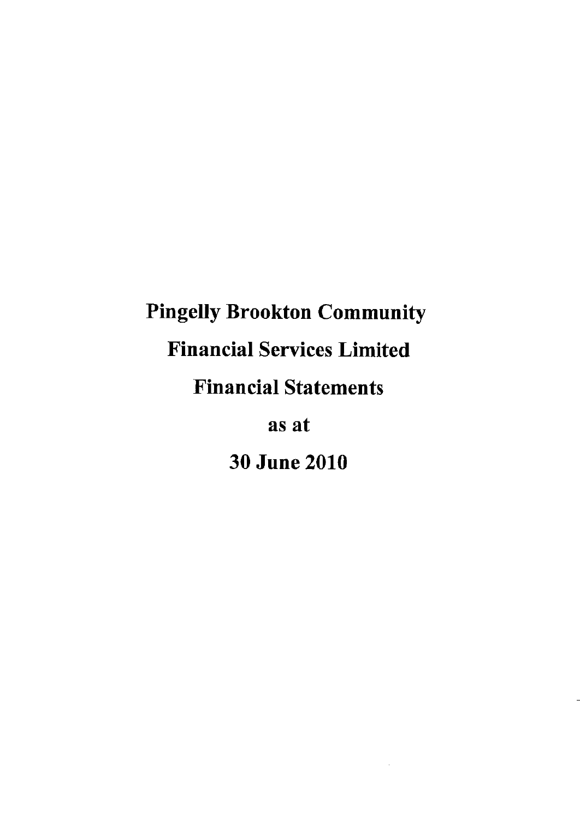# **Pingelly Brookton Community Financial Services Limited Financial Statements**

as at

**30 June 2010**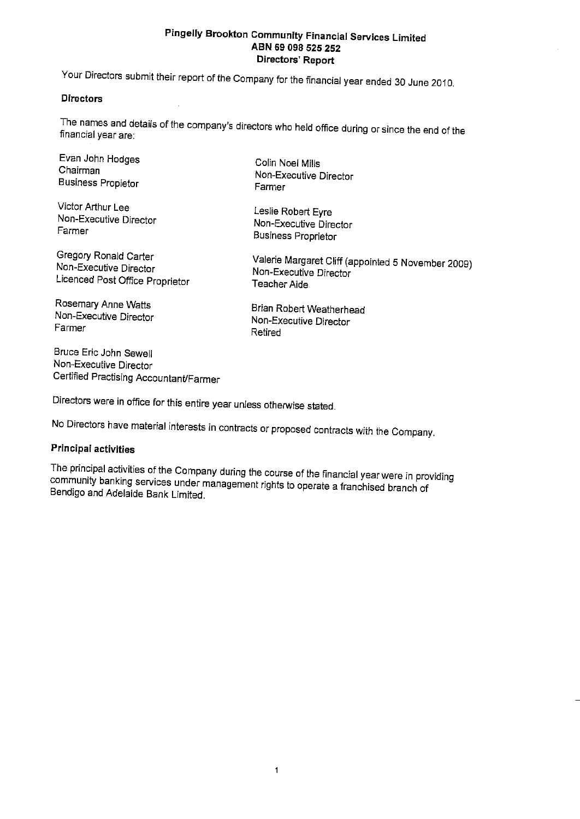Your Directors submit their report of the Company for the financial year ended 30 June 2010.

#### **Directors**

The names and details of the company's directors who held office during or since the end of the financial year are:

Evan John Hodges Chairman **Business Propietor** 

Victor Arthur Lee Non-Executive Director Farmer

Gregory Ronald Carter Non-Executive Director Licenced Post Office Proprietor

Rosemary Anne Watts Non-Executive Director Farmer

Bruce Eric John Sewell Non-Executive Director Certified Practising Accountant/Farmer

Colin Noel Mills Non-Executive Director Farmer

Leslie Robert Eyre Non-Executive Director **Business Proprietor** 

Valerie Margaret Cliff (appointed 5 November 2009) Non-Executive Director Teacher Aide

Brian Robert Weatherhead Non-Executive Director Retired

Directors were in office for this entire year unless otherwise stated.

No Directors have material interests in contracts or proposed contracts with the Company.

#### **Principal activities**

The principal activities of the Company during the course of the financial year were in providing community banking services under management rights to operate a franchised branch of Bendigo and Adelaide Bank Limited.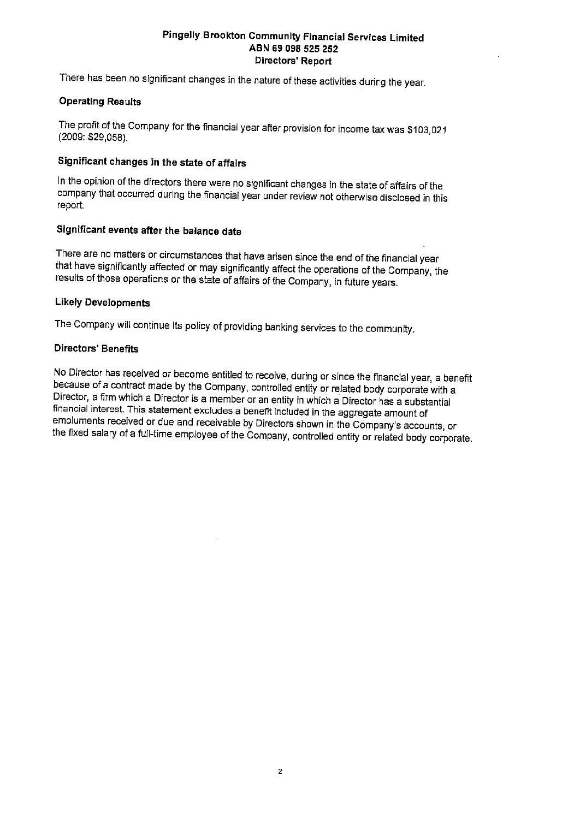There has been no significant changes in the nature of these activities during the year.

#### **Operating Results**

The profit of the Company for the financial year after provision for income tax was \$103,021 (2009: \$29,058).

#### Significant changes in the state of affairs

In the opinion of the directors there were no significant changes in the state of affairs of the company that occurred during the financial year under review not otherwise disclosed in this report.

## Significant events after the balance date

There are no matters or circumstances that have arisen since the end of the financial year that have significantly affected or may significantly affect the operations of the Company, the results of those operations or the state of affairs of the Company, in future years.

#### **Likely Developments**

The Company will continue its policy of providing banking services to the community.

#### **Directors' Benefits**

No Director has received or become entitled to receive, during or since the financial year, a benefit because of a contract made by the Company, controlled entity or related body corporate with a Director, a firm which a Director is a member or an entity in which a Director has a substantial financial interest. This statement excludes a benefit included in the aggregate amount of emoluments received or due and receivable by Directors shown in the Company's accounts, or the fixed salary of a full-time employee of the Company, controlled entity or related body corporate.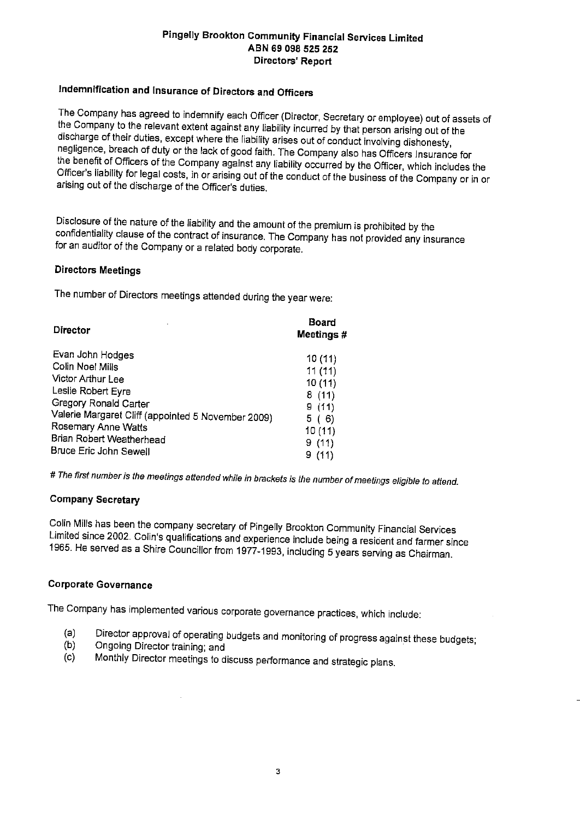## Indemnification and Insurance of Directors and Officers

The Company has agreed to indemnify each Officer (Director, Secretary or employee) out of assets of the Company to the relevant extent against any liability incurred by that person arising out of the discharge of their duties, except where the liability arises out of conduct involving dishonesty, negligence, breach of duty or the lack of good faith. The Company also has Officers Insurance for the benefit of Officers of the Company against any liability occurred by the Officer, which includes the Officer's liability for legal costs, in or arising out of the conduct of the business of the Company or in or arising out of the discharge of the Officer's duties.

Disclosure of the nature of the liability and the amount of the premium is prohibited by the confidentiality clause of the contract of insurance. The Company has not provided any insurance for an auditor of the Company or a related body corporate.

#### **Directors Meetings**

The number of Directors meetings attended during the year were:

| <b>Director</b>                                    | <b>Board</b><br>Meetings # |
|----------------------------------------------------|----------------------------|
| Evan John Hodges                                   | 10(11)                     |
| Colin Noel Mills                                   | 11(11)                     |
| Victor Arthur Lee                                  | 10(11)                     |
| Leslie Robert Eyre                                 | 8(11)                      |
| Gregory Ronald Carter                              | 9(11)                      |
| Valerie Margaret Cliff (appointed 5 November 2009) | 5(6)                       |
| Rosemary Anne Watts                                | 10 (11)                    |
| Brian Robert Weatherhead                           | 9(11)                      |
| Bruce Eric John Sewell                             | 9(11)                      |

# The first number is the meetings attended while in brackets is the number of meetings eligible to attend.

#### **Company Secretary**

Colin Mills has been the company secretary of Pingelly Brookton Community Financial Services Limited since 2002. Colin's qualifications and experience include being a resident and farmer since 1965. He served as a Shire Councillor from 1977-1993, including 5 years serving as Chairman.

#### **Corporate Governance**

The Company has implemented various corporate governance practices, which include:

- Director approval of operating budgets and monitoring of progress against these budgets;  $(a)$
- $(b)$ Ongoing Director training; and
- Monthly Director meetings to discuss performance and strategic plans.  $(c)$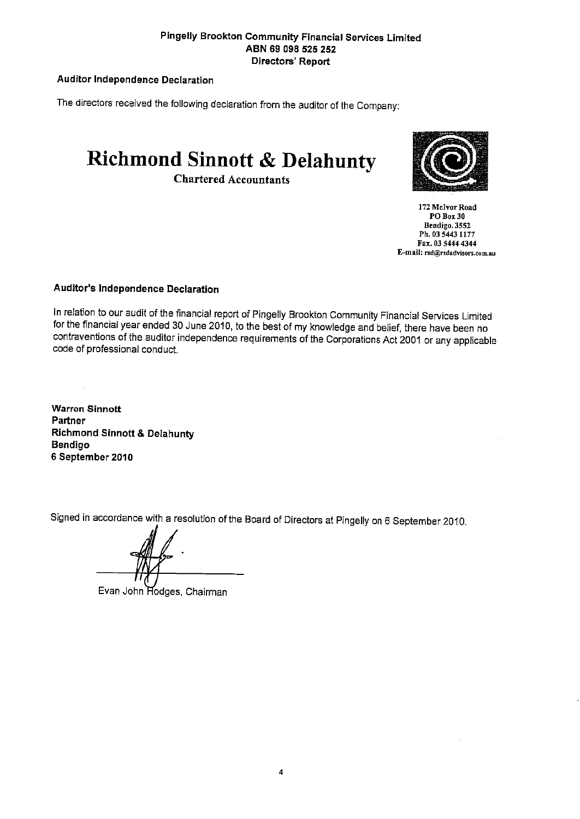#### **Auditor Independence Declaration**

The directors received the following declaration from the auditor of the Company:

**Richmond Sinnott & Delahunty** 

**Chartered Accountants** 



172 McIvor Road  $POBox30$ Bendigo. 3552 Ph. 03 5443 1177 Fax. 03 5444 4344 E-mail: rsd@rsdadvisors.com.au

#### Auditor's Independence Declaration

In relation to our audit of the financial report of Pingelly Brookton Community Financial Services Limited for the financial year ended 30 June 2010, to the best of my knowledge and belief, there have been no contraventions of the auditor independence requirements of the Corporations Act 2001 or any applicable code of professional conduct.

**Warren Sinnott** Partner **Richmond Sinnott & Delahunty Bendigo** 6 September 2010

Signed in accordance with a resolution of the Board of Directors at Pingelly on 6 September 2010.

Evan John Hodges, Chairman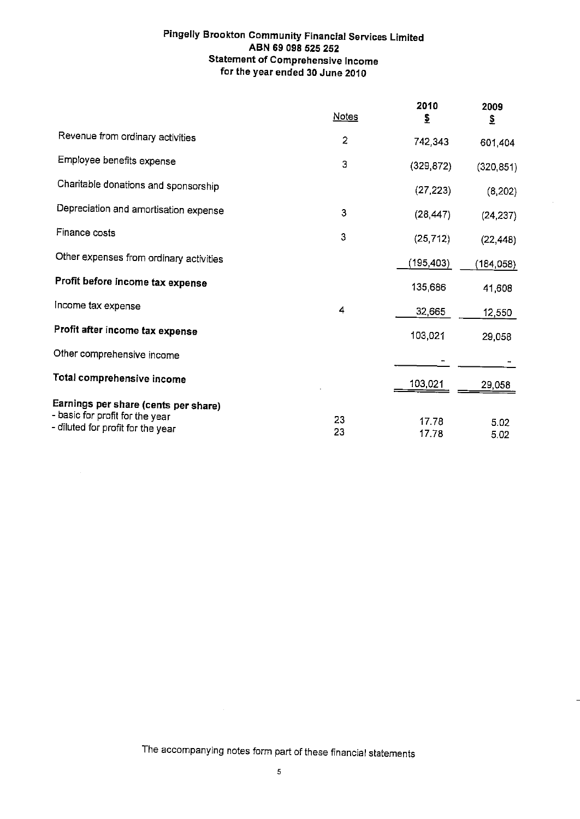#### Pingelly Brookton Community Financial Services Limited ABN 69 098 525 252 **Statement of Comprehensive Income** for the year ended 30 June 2010

|                                                                         | <b>Notes</b>   | 2010<br>₹      | 2009<br>$\mathbf{\underline{s}}$ |
|-------------------------------------------------------------------------|----------------|----------------|----------------------------------|
| Revenue from ordinary activities                                        | $\overline{2}$ | 742,343        | 601,404                          |
| Employee benefits expense                                               | 3              | (329, 872)     | (320, 851)                       |
| Charitable donations and sponsorship                                    |                | (27, 223)      | (8, 202)                         |
| Depreciation and amortisation expense                                   | 3              | (28, 447)      | (24, 237)                        |
| Finance costs                                                           | 3              | (25, 712)      | (22, 448)                        |
| Other expenses from ordinary activities                                 |                | (195,403)      | (184,058)                        |
| Profit before income tax expense                                        |                | 135,686        | 41,608                           |
| Income tax expense                                                      | 4              | 32,665         | 12,550                           |
| Profit after income tax expense                                         |                | 103,021        | 29,058                           |
| Other comprehensive income                                              |                |                |                                  |
| Total comprehensive income                                              |                | 103,021        | 29,058                           |
| Earnings per share (cents per share)<br>- basic for profit for the year | 23             |                |                                  |
| - diluted for profit for the year                                       | 23             | 17.78<br>17.78 | 5.02<br>5.02                     |

 $\mathcal{A}^{\mathcal{A}}$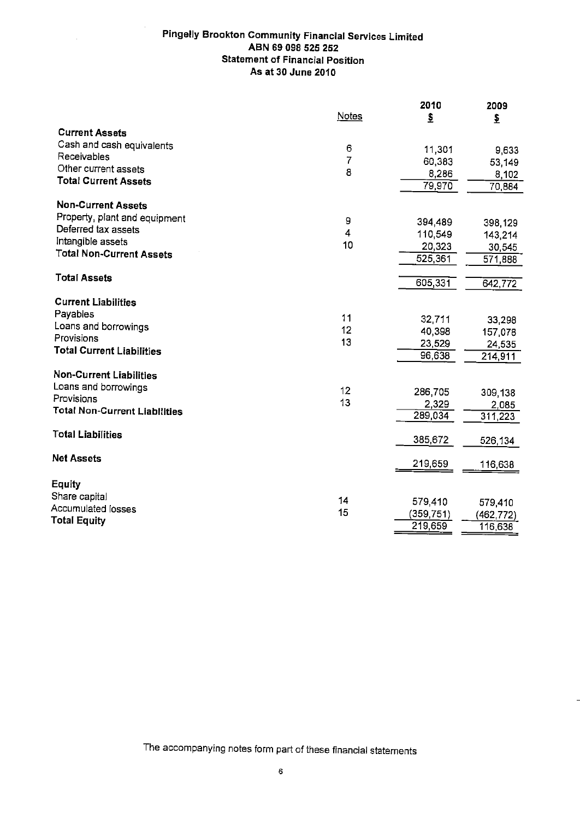#### **Pingelly Brookton Community Financial Services Limited** ABN 69 098 525 252 **Statement of Financial Position** As at 30 June 2010

 $\mathcal{L}$ 

|                                      |              | 2010                     | 2009             |
|--------------------------------------|--------------|--------------------------|------------------|
|                                      | <b>Notes</b> | $\mathbf{\underline{s}}$ | \$               |
| <b>Current Assets</b>                |              |                          |                  |
| Cash and cash equivalents            | 6            |                          |                  |
| Receivables                          | 7            | 11,301                   | 9,633            |
| Other current assets                 | 8            | 60,383                   | 53,149           |
| <b>Total Current Assets</b>          |              | 8,286                    | 8,102            |
|                                      |              | 79,970                   | 70,884           |
| <b>Non-Current Assets</b>            |              |                          |                  |
| Property, plant and equipment        |              |                          |                  |
| Deferred tax assets                  | 9            | 394,489                  | 398,129          |
| Intangible assets                    | 4            | 110,549                  | 143,214          |
| <b>Total Non-Current Assets</b>      | 10           | 20,323                   | 30,545           |
|                                      |              | 525,361                  | 571,888          |
| <b>Total Assets</b>                  |              |                          |                  |
|                                      |              | 605,331                  | $\sqrt{642,772}$ |
| <b>Current Liabilities</b>           |              |                          |                  |
| Payables                             |              |                          |                  |
| Loans and borrowings                 | 11           | 32,711                   | 33 298           |
| Provisions                           | 12           | 40,398                   | 157,078          |
| <b>Total Current Liabilities</b>     | 13           | 23,529                   | 24,535           |
|                                      |              | 96,638                   | 214,911          |
|                                      |              |                          |                  |
| <b>Non-Current Liabilities</b>       |              |                          |                  |
| Loans and borrowings                 | 12           | 286,705                  | 309,138          |
| Provisions                           | 13           | 2,329                    | 2,085            |
| <b>Total Non-Current Liabilities</b> |              | 289,034                  | 311,223          |
|                                      |              |                          |                  |
| <b>Total Liabilities</b>             |              | 385,672                  | 526,134          |
|                                      |              |                          |                  |
| <b>Net Assets</b>                    |              | 219,659                  | 116,638          |
|                                      |              |                          |                  |
| <b>Equity</b>                        |              |                          |                  |
| Share capital                        | 14           | 579,410                  | 579,410          |
| <b>Accumulated losses</b>            | 15           | (359,751)                | (462,772)        |
| <b>Total Equity</b>                  |              | 219,659                  | 116,638          |
|                                      |              |                          |                  |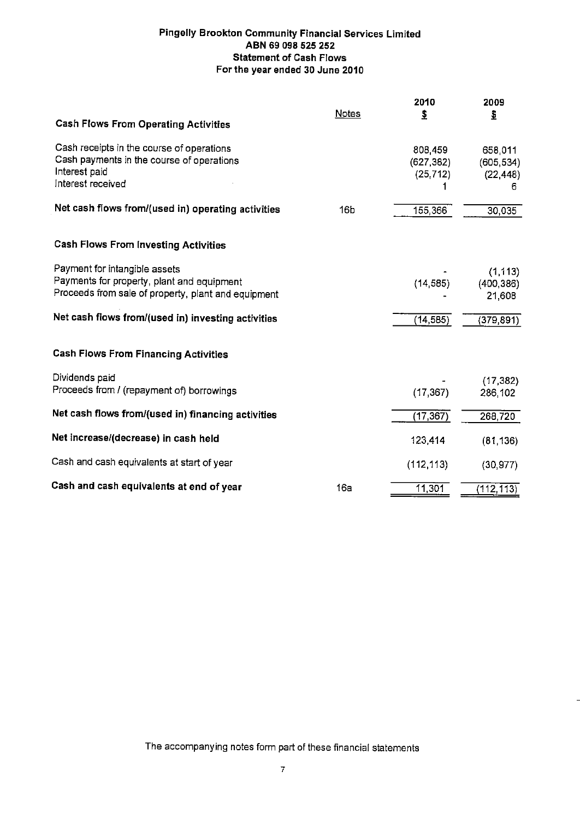#### **Pingelly Brookton Community Financial Services Limited** ABN 69 098 525 252 **Statement of Cash Flows** For the year ended 30 June 2010

|                                                                                                   | <b>Notes</b>    | 2010<br>$\frac{1}{2}$ | 2009<br>₹      |
|---------------------------------------------------------------------------------------------------|-----------------|-----------------------|----------------|
| <b>Cash Flows From Operating Activities</b>                                                       |                 |                       |                |
| Cash receipts in the course of operations                                                         |                 | 808,459               | 658,011        |
| Cash payments in the course of operations<br>Interest paid                                        |                 | (627, 382)            | (605, 534)     |
| Interest received                                                                                 |                 | (25, 712)             | (22, 448)<br>6 |
| Net cash flows from/(used in) operating activities                                                |                 |                       |                |
|                                                                                                   | 16 <sub>D</sub> | 155,366               | 30,035         |
|                                                                                                   |                 |                       |                |
| <b>Cash Flows From Investing Activities</b>                                                       |                 |                       |                |
| Payment for intangible assets                                                                     |                 |                       | (1, 113)       |
| Payments for property, plant and equipment<br>Proceeds from sale of property, plant and equipment |                 | (14, 585)             | (400, 386)     |
|                                                                                                   |                 |                       | 21,608         |
| Net cash flows from/(used in) investing activities                                                |                 | (14, 585)             | (379, 891)     |
|                                                                                                   |                 |                       |                |
| <b>Cash Flows From Financing Activities</b>                                                       |                 |                       |                |
| Dividends paid                                                                                    |                 |                       | (17, 382)      |
| Proceeds from / (repayment of) borrowings                                                         |                 | (17, 367)             | 286,102        |
| Net cash flows from/(used in) financing activities                                                |                 | (17, 367)             |                |
|                                                                                                   |                 |                       | 268,720        |
| Net increase/(decrease) in cash held                                                              |                 | 123,414               | (81, 136)      |
| Cash and cash equivalents at start of year                                                        |                 | (112, 113)            | (30, 977)      |
|                                                                                                   |                 |                       |                |
| Cash and cash equivalents at end of year                                                          | 16a             | 11,301                | (112, 113)     |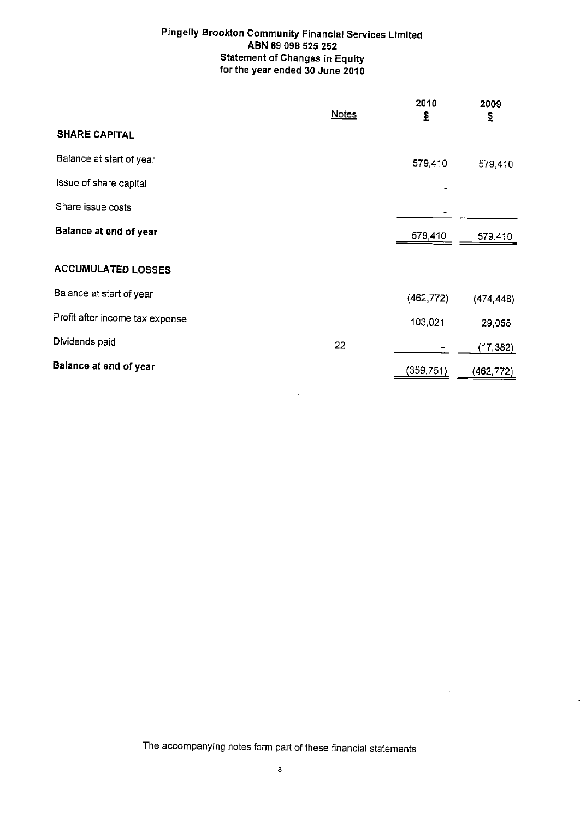#### **Pingelly Brookton Community Financial Services Limited** ABN 69 098 525 252 **Statement of Changes in Equity** for the year ended 30 June 2010

|                                 | <b>Notes</b> | 2010<br>₹  | 2009<br>\$ |
|---------------------------------|--------------|------------|------------|
| <b>SHARE CAPITAL</b>            |              |            |            |
| Balance at start of year        |              | 579,410    | 579,410    |
| Issue of share capital          |              |            |            |
| Share issue costs               |              |            |            |
| Balance at end of year          |              | 579,410    | 579,410    |
| <b>ACCUMULATED LOSSES</b>       |              |            |            |
| Balance at start of year        |              | (462, 772) | (474, 448) |
| Profit after income tax expense |              | 103,021    | 29,058     |
| Dividends paid                  | 22           |            | (17, 382)  |
| Balance at end of year          |              | (359, 751) | (462, 772) |

 $\ddot{\phantom{a}}$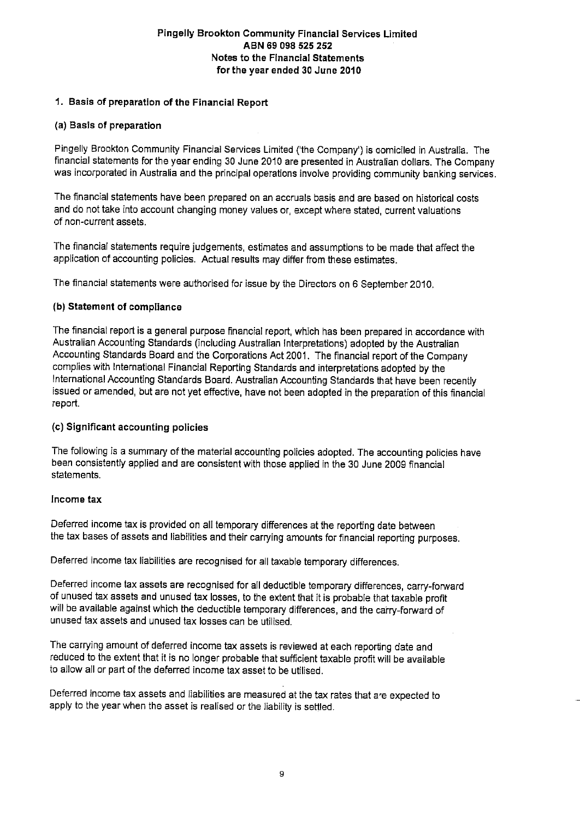#### 1. Basis of preparation of the Financial Report

#### (a) Basis of preparation

Pingelly Brookton Community Financial Services Limited ('the Company') is domiciled in Australia. The financial statements for the year ending 30 June 2010 are presented in Australian dollars. The Company was incorporated in Australia and the principal operations involve providing community banking services.

The financial statements have been prepared on an accruals basis and are based on historical costs and do not take into account changing money values or, except where stated, current valuations of non-current assets.

The financial statements require judgements, estimates and assumptions to be made that affect the application of accounting policies. Actual results may differ from these estimates.

The financial statements were authorised for issue by the Directors on 6 September 2010.

#### (b) Statement of compliance

The financial report is a general purpose financial report, which has been prepared in accordance with Australian Accounting Standards (including Australian Interpretations) adopted by the Australian Accounting Standards Board and the Corporations Act 2001. The financial report of the Company complies with International Financial Reporting Standards and interpretations adopted by the International Accounting Standards Board. Australian Accounting Standards that have been recently issued or amended, but are not yet effective, have not been adopted in the preparation of this financial report.

#### (c) Significant accounting policies

The following is a summary of the material accounting policies adopted. The accounting policies have been consistently applied and are consistent with those applied in the 30 June 2009 financial statements.

#### Income tax

Deferred income tax is provided on all temporary differences at the reporting date between the tax bases of assets and liabilities and their carrying amounts for financial reporting purposes.

Deferred income tax liabilities are recognised for all taxable temporary differences.

Deferred income tax assets are recognised for all deductible temporary differences, carry-forward of unused tax assets and unused tax losses, to the extent that it is probable that taxable profit will be available against which the deductible temporary differences, and the carry-forward of unused tax assets and unused tax losses can be utilised.

The carrying amount of deferred income tax assets is reviewed at each reporting date and reduced to the extent that it is no longer probable that sufficient taxable profit will be available to allow all or part of the deferred income tax asset to be utilised.

Deferred income tax assets and liabilities are measured at the tax rates that are expected to apply to the year when the asset is realised or the liability is settled.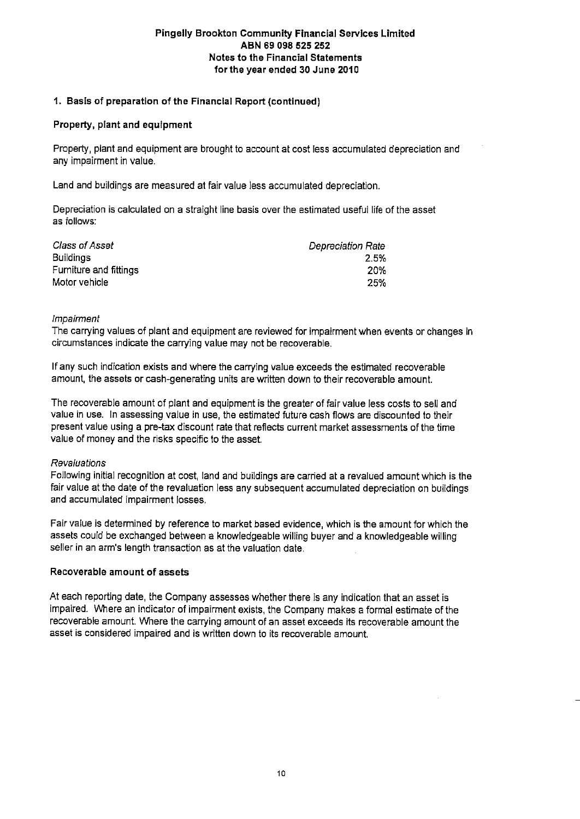#### 1. Basis of preparation of the Financial Report (continued)

#### Property, plant and equipment

Property, plant and equipment are brought to account at cost less accumulated depreciation and any impairment in value.

Land and buildings are measured at fair value less accumulated depreciation.

Depreciation is calculated on a straight line basis over the estimated useful life of the asset as follows:

| Class of Asset         | <b>Depreciation Rate</b> |
|------------------------|--------------------------|
| <b>Buildings</b>       | 2.5%                     |
| Furniture and fittings | 20%                      |
| Motor vehicle          | 25%                      |

#### Impairment

The carrying values of plant and equipment are reviewed for impairment when events or changes in circumstances indicate the carrying value may not be recoverable.

If any such indication exists and where the carrying value exceeds the estimated recoverable amount, the assets or cash-generating units are written down to their recoverable amount.

The recoverable amount of plant and equipment is the greater of fair value less costs to sell and value in use. In assessing value in use, the estimated future cash flows are discounted to their present value using a pre-tax discount rate that reflects current market assessments of the time value of money and the risks specific to the asset.

#### Revaluations

Following initial recognition at cost, land and buildings are carried at a revalued amount which is the fair value at the date of the revaluation less any subsequent accumulated depreciation on buildings and accumulated impairment losses.

Fair value is determined by reference to market based evidence, which is the amount for which the assets could be exchanged between a knowledgeable willing buyer and a knowledgeable willing seller in an arm's length transaction as at the valuation date.

#### Recoverable amount of assets

At each reporting date, the Company assesses whether there is any indication that an asset is impaired. Where an indicator of impairment exists, the Company makes a formal estimate of the recoverable amount. Where the carrying amount of an asset exceeds its recoverable amount the asset is considered impaired and is written down to its recoverable amount.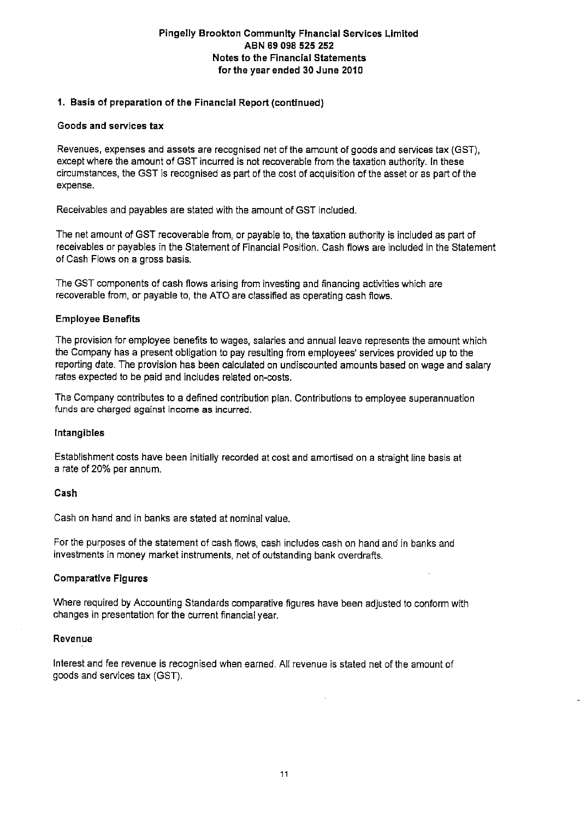#### 1. Basis of preparation of the Financial Report (continued)

#### Goods and services tax

Revenues, expenses and assets are recognised net of the amount of goods and services tax (GST), except where the amount of GST incurred is not recoverable from the taxation authority. In these circumstances, the GST is recognised as part of the cost of acquisition of the asset or as part of the expense.

Receivables and payables are stated with the amount of GST included.

The net amount of GST recoverable from, or payable to, the taxation authority is included as part of receivables or payables in the Statement of Financial Position. Cash flows are included in the Statement of Cash Flows on a gross basis.

The GST components of cash flows arising from investing and financing activities which are recoverable from, or payable to, the ATO are classified as operating cash flows.

#### **Employee Benefits**

The provision for employee benefits to wages, salaries and annual leave represents the amount which the Company has a present obligation to pay resulting from employees' services provided up to the reporting date. The provision has been calculated on undiscounted amounts based on wage and salary rates expected to be paid and includes related on-costs.

The Company contributes to a defined contribution plan. Contributions to employee superannuation funds are charged against income as incurred.

#### Intangibles

Establishment costs have been initially recorded at cost and amortised on a straight line basis at a rate of 20% per annum.

#### Cash

Cash on hand and in banks are stated at nominal value.

For the purposes of the statement of cash flows, cash includes cash on hand and in banks and investments in money market instruments, net of outstanding bank overdrafts.

#### **Comparative Figures**

Where required by Accounting Standards comparative figures have been adjusted to conform with changes in presentation for the current financial year.

#### Revenue

Interest and fee revenue is recognised when earned. All revenue is stated net of the amount of goods and services tax (GST).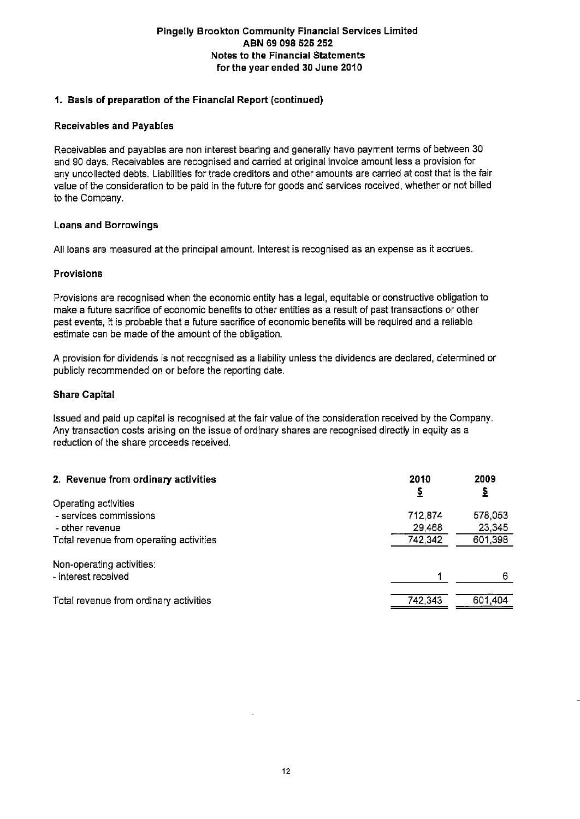#### 1. Basis of preparation of the Financial Report (continued)

#### **Receivables and Payables**

Receivables and payables are non interest bearing and generally have payment terms of between 30 and 90 days. Receivables are recognised and carried at original invoice amount less a provision for any uncollected debts. Liabilities for trade creditors and other amounts are carried at cost that is the fair value of the consideration to be paid in the future for goods and services received, whether or not billed to the Company.

#### **Loans and Borrowings**

All loans are measured at the principal amount. Interest is recognised as an expense as it accrues.

#### **Provisions**

Provisions are recognised when the economic entity has a legal, equitable or constructive obligation to make a future sacrifice of economic benefits to other entities as a result of past transactions or other past events, it is probable that a future sacrifice of economic benefits will be required and a reliable estimate can be made of the amount of the obligation.

A provision for dividends is not recognised as a liability unless the dividends are declared, determined or publicly recommended on or before the reporting date.

#### **Share Capital**

Issued and paid up capital is recognised at the fair value of the consideration received by the Company. Any transaction costs arising on the issue of ordinary shares are recognised directly in equity as a reduction of the share proceeds received.

| 2. Revenue from ordinary activities              | 2010<br>₹ | 2009<br>↨ |
|--------------------------------------------------|-----------|-----------|
| Operating activities                             |           |           |
| - services commissions                           | 712,874   | 578,053   |
| - other revenue                                  | 29,468    | 23.345    |
| Total revenue from operating activities          | 742,342   | 601,398   |
| Non-operating activities:<br>- interest received |           | 6         |
|                                                  |           |           |
| Total revenue from ordinary activities           | 742,343   | 601,404   |
|                                                  |           |           |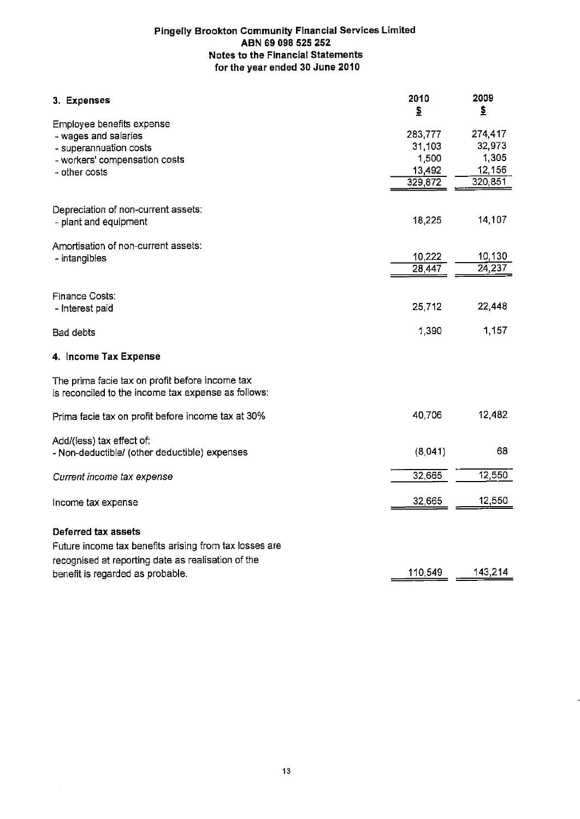| 3. Expenses                                                                                            | 2010<br>\$ | 2009<br>\$      |
|--------------------------------------------------------------------------------------------------------|------------|-----------------|
| Employee benefits expense                                                                              |            |                 |
| - wages and salaries                                                                                   | 283,777    | 274,417         |
| - superannuation costs                                                                                 | 31,103     | 32,973          |
| - workers' compensation costs                                                                          | 1,500      | 1,305           |
| - other costs                                                                                          | 13,492     | 12,156          |
|                                                                                                        | 329,872    | 320,851         |
| Depreciation of non-current assets:                                                                    |            |                 |
| - plant and equipment                                                                                  | 18,225     | 14,107          |
| Amortisation of non-current assets:                                                                    |            |                 |
| - intangibles                                                                                          | 10,222     | 10,130          |
|                                                                                                        | 28,447     | $\sqrt{24,237}$ |
| Finance Costs:                                                                                         |            |                 |
| - Interest paid                                                                                        | 25,712     | 22,448          |
| Bad debts                                                                                              | 1,390      | 1,157           |
| 4. Income Tax Expense                                                                                  |            |                 |
| The prima facie tax on profit before income tax<br>is reconciled to the income tax expense as follows: |            |                 |
| Prima facie tax on profit before income tax at 30%                                                     | 40,706     | 12,482          |
| Add/(less) tax effect of:<br>- Non-deductible/ (other deductible) expenses                             | (8,041)    | 68              |
| Current income tax expense                                                                             | 32,665     | 12,550          |
| Income tax expense                                                                                     | 32,665     | 12,550          |
| Deferred tax assets                                                                                    |            |                 |
| Future income tax benefits arising from tax losses are                                                 |            |                 |
| recognised at reporting date as realisation of the                                                     |            |                 |
| benefit is regarded as probable.                                                                       | 110,549    | 143,214         |
|                                                                                                        |            |                 |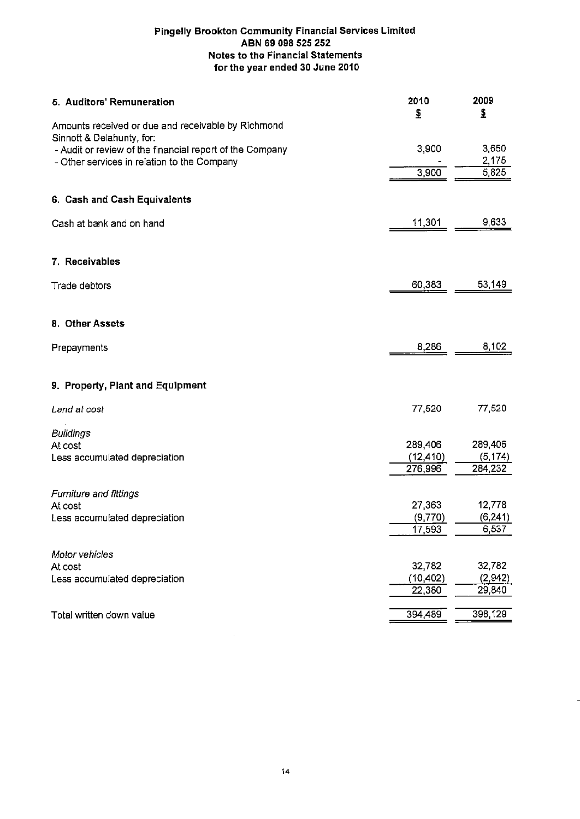| 5. Auditors' Remuneration                                | 2010<br>₹            | 2009<br>₹           |
|----------------------------------------------------------|----------------------|---------------------|
| Amounts received or due and receivable by Richmond       |                      |                     |
| Sinnott & Delahunty, for:                                |                      |                     |
| - Audit or review of the financial report of the Company | 3,900                | 3,650               |
| - Other services in relation to the Company              | 3,900                | 2,175<br>5,825      |
|                                                          |                      |                     |
| 6. Cash and Cash Equivalents                             |                      |                     |
| Cash at bank and on hand                                 | 11,301               | 9,633               |
|                                                          |                      |                     |
| 7. Receivables                                           |                      |                     |
| Trade debtors                                            | 60,383               | 53,149              |
|                                                          |                      |                     |
| 8. Other Assets                                          |                      |                     |
| Prepayments                                              | 8,286                | 8,102               |
| 9. Property, Plant and Equipment                         |                      |                     |
|                                                          |                      |                     |
| Land at cost                                             | 77,520               | 77,520              |
| <b>Buildings</b>                                         |                      |                     |
| At cost                                                  | 289,406              | 289,406             |
| Less accumulated depreciation                            | (12, 410)<br>276,996 | (5, 174)<br>284,232 |
|                                                          |                      |                     |
| Furniture and fittings                                   |                      |                     |
| At cost                                                  | 27,363               | 12,778              |
| Less accumulated depreciation                            | (9,770)              | (6, 241)            |
|                                                          | 17,593               | 6,537               |
| Motor vehicles                                           |                      |                     |
| At cost                                                  | 32,782               | 32,782              |
| Less accumulated depreciation                            | (10, 402)            | (2,942)             |
|                                                          | 22,380               | 29,840              |
| Total written down value                                 | 394,489              | 398,129             |
|                                                          |                      |                     |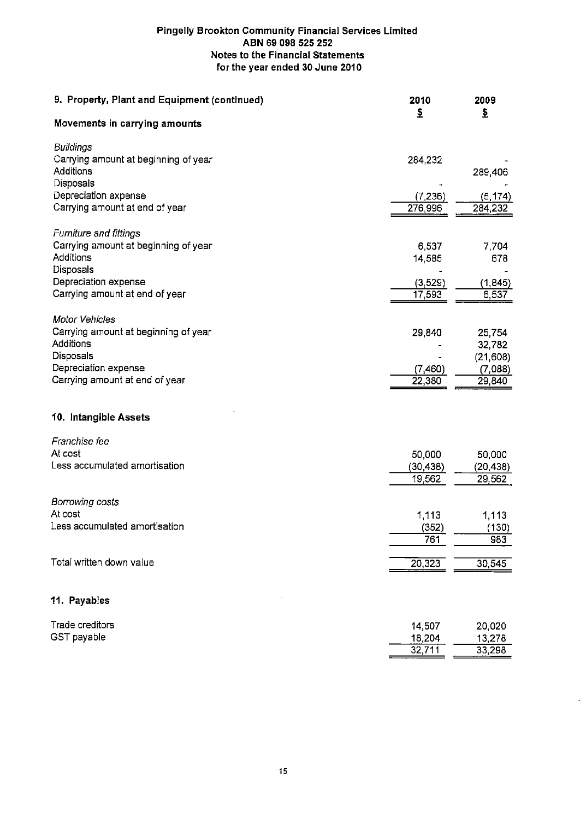| 9. Property, Plant and Equipment (continued)           | 2010<br>£           | 2009<br>₿           |
|--------------------------------------------------------|---------------------|---------------------|
| Movements in carrying amounts                          |                     |                     |
| <b>Buildings</b>                                       |                     |                     |
| Carrying amount at beginning of year                   | 284,232             |                     |
| Additions                                              |                     | 289,406             |
| Disposals                                              |                     |                     |
| Depreciation expense<br>Carrying amount at end of year | (7, 236)<br>276,996 | (5, 174)<br>284,232 |
|                                                        |                     |                     |
| <b>Furniture and fittings</b>                          |                     |                     |
| Carrying amount at beginning of year                   | 6,537               | 7.704               |
| Additions                                              | 14,585              | 678                 |
| Disposals                                              |                     |                     |
| Depreciation expense                                   | (3, 529)            | (1, 845)            |
| Carrying amount at end of year                         | 17,593              | 6,537               |
| <b>Motor Vehicles</b>                                  |                     |                     |
| Carrying amount at beginning of year                   |                     | 25,754              |
| Additions                                              | 29,840              | 32,782              |
| Disposals                                              |                     | (21, 608)           |
| Depreciation expense                                   | (7,460)             | (7,088)             |
| Carrying amount at end of year                         | 22,380              | 29,840              |
|                                                        |                     |                     |
| 10. Intangible Assets                                  |                     |                     |
| Franchise fee                                          |                     |                     |
| At cost                                                | 50,000              | 50,000              |
| Less accumulated amortisation                          | (30, 438)           | (20, 438)           |
|                                                        | 19,562              | 29,562              |
|                                                        |                     |                     |
| Borrowing costs<br>At cost                             |                     |                     |
| Less accumulated amortisation                          | 1,113               | 1,113               |
|                                                        | (352)<br>761        | (130)<br>983        |
|                                                        |                     |                     |
| Total written down value                               | 20,323              | 30,545              |
|                                                        |                     |                     |
| 11. Payables                                           |                     |                     |
| Trade creditors                                        | 14,507              | 20,020              |
| GST payable                                            | 18,204              | 13,278              |
|                                                        | 32,711              | 33,298              |
|                                                        |                     |                     |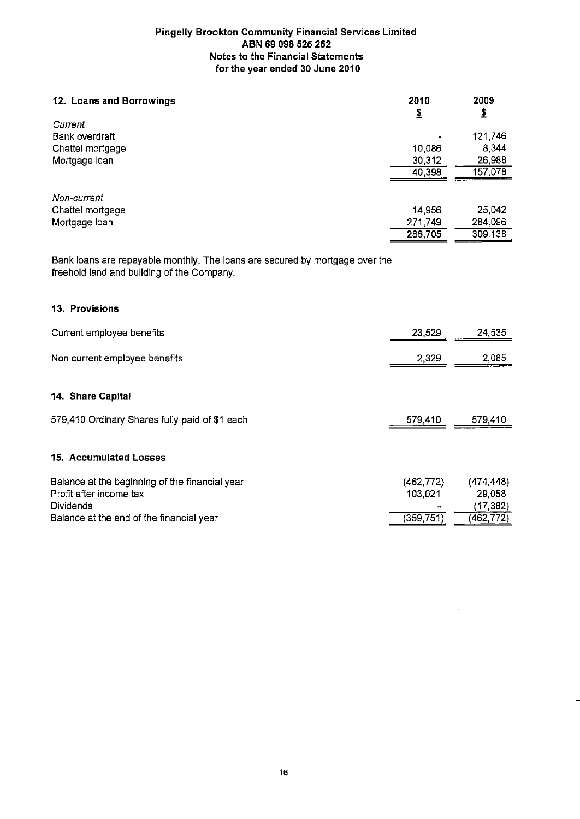| 12. Loans and Borrowings | 2010    | 2009     |
|--------------------------|---------|----------|
|                          | 1       | <u>s</u> |
| Current                  |         |          |
| Bank overdraft           |         | 121,746  |
| Chattel mortgage         | 10,086  | 8,344    |
| Mortgage loan            | 30,312  | 26,988   |
|                          | 40,398  | 157,078  |
| Non-current              |         |          |
| Chattel mortgage         | 14,956  | 25,042   |
| Mortgage loan            | 271,749 | 284,096  |
|                          | 286,705 | 309,138  |

Bank loans are repayable monthly. The loans are secured by mortgage over the freehold land and building of the Company.

#### 13. Provisions

| Current employee benefits                                                                     | 23,529                | 24,535                            |
|-----------------------------------------------------------------------------------------------|-----------------------|-----------------------------------|
| Non current employee benefits                                                                 | 2,329                 | 2,085                             |
| 14. Share Capital                                                                             |                       |                                   |
| 579,410 Ordinary Shares fully paid of \$1 each                                                | 579,410               | 579,410                           |
| 15. Accumulated Losses                                                                        |                       |                                   |
| Balance at the beginning of the financial year<br>Profit after income tax<br><b>Dividends</b> | (462, 772)<br>103,021 | (474, 448)<br>29,058<br>(17, 382) |
| Balance at the end of the financial year                                                      | (359, 751)            | (462,772)                         |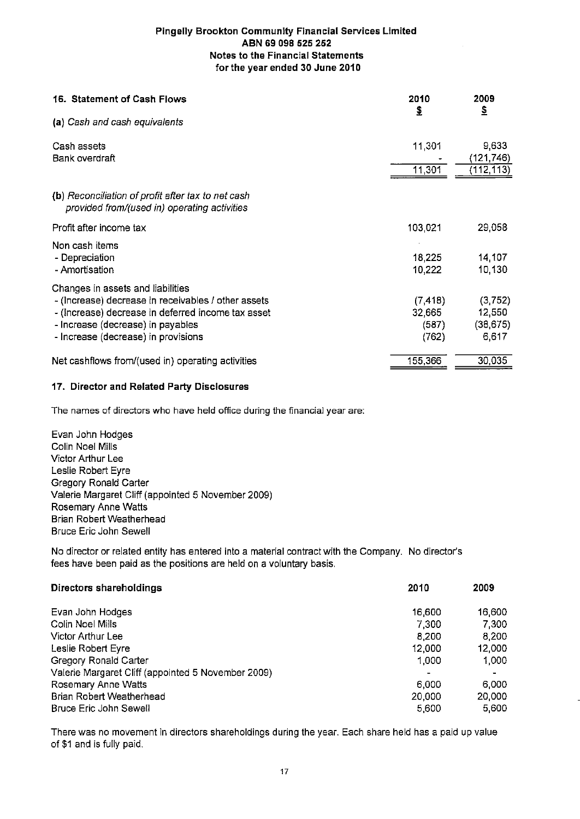| 16. Statement of Cash Flows                                                                        | 2010<br>\$       | 2009<br>$\mathbf{\hat{z}}$ |
|----------------------------------------------------------------------------------------------------|------------------|----------------------------|
| (a) Cash and cash equivalents                                                                      |                  |                            |
| Cash assets                                                                                        | 11,301           | 9,633                      |
| Bank overdraft                                                                                     | 11,301           | (121,746)<br>(112,113)     |
| (b) Reconciliation of profit after tax to net cash<br>provided from/(used in) operating activities |                  |                            |
| Profit after income tax                                                                            | 103,021          | 29,058                     |
| Non cash items                                                                                     |                  |                            |
| - Depreciation<br>- Amortisation                                                                   | 18,225<br>10,222 | 14,107<br>10,130           |
| Changes in assets and liabilities                                                                  |                  |                            |
| - (Increase) decrease in receivables / other assets                                                | (7, 418)         | (3,752)                    |
| - (Increase) decrease in deferred income tax asset                                                 | 32,665           | 12,550                     |
| - Increase (decrease) in payables                                                                  | (587)            | (38, 675)                  |
| - Increase (decrease) in provisions                                                                | (762)            | 6,617                      |
| Net cashflows from/(used in) operating activities                                                  | 155,366          | 30,035                     |

#### 17. Director and Related Party Disclosures

The names of directors who have held office during the financial year are:

Evan John Hodges Colin Noel Mills Victor Arthur Lee Leslie Robert Eyre **Gregory Ronald Carter** Valerie Margaret Cliff (appointed 5 November 2009) **Rosemary Anne Watts** Brian Robert Weatherhead **Bruce Eric John Sewell** 

No director or related entity has entered into a material contract with the Company. No director's fees have been paid as the positions are held on a voluntary basis.

| Directors shareholdings                            | 2010      | 2009   |
|----------------------------------------------------|-----------|--------|
| Evan John Hodges                                   | 16,600    | 16,600 |
| Colin Noel Mills                                   | 7,300     | 7,300  |
| Victor Arthur Lee                                  | 8,200     | 8,200  |
| Leslie Robert Eyre                                 | 12,000    | 12,000 |
| Gregory Ronald Carter                              | 1,000     | 1,000  |
| Valerie Margaret Cliff (appointed 5 November 2009) | $\bullet$ | ۰      |
| Rosemary Anne Watts                                | 6,000     | 6,000  |
| Brian Robert Weatherhead                           | 20,000    | 20,000 |
| <b>Bruce Eric John Sewell</b>                      | 5,600     | 5.600  |

There was no movement in directors shareholdings during the year. Each share held has a paid up value of \$1 and is fully paid.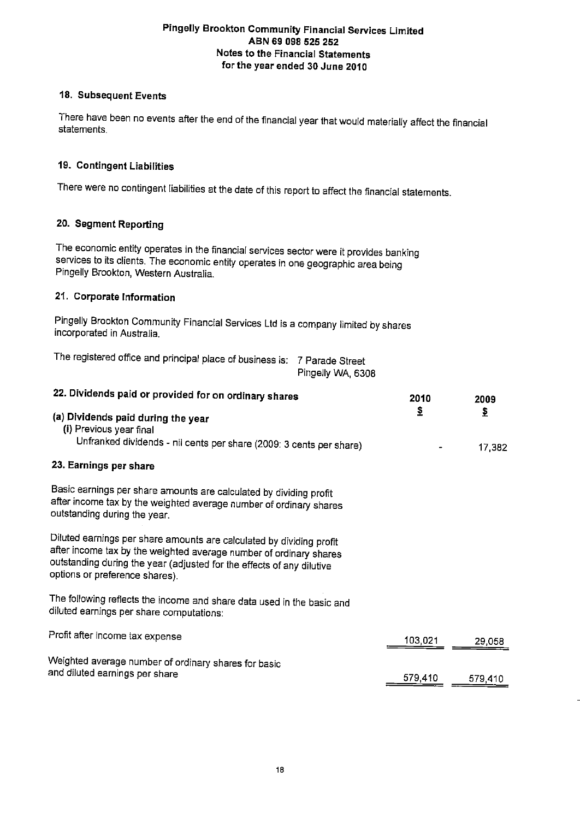#### 18. Subsequent Events

There have been no events after the end of the financial year that would materially affect the financial statements.

#### 19. Contingent Liabilities

There were no contingent liabilities at the date of this report to affect the financial statements.

#### 20. Segment Reporting

The economic entity operates in the financial services sector were it provides banking services to its clients. The economic entity operates in one geographic area being Pingelly Brookton, Western Australia.

#### 21. Corporate Information

Pingelly Brookton Community Financial Services Ltd is a company limited by shares incorporated in Australia.

The registered office and principal place of business is: 7 Parade Street Pingelly WA, 6308

| 22. Dividends paid or provided for on ordinary shares                                                                                                                                                                                                 | 2010    | 2009         |
|-------------------------------------------------------------------------------------------------------------------------------------------------------------------------------------------------------------------------------------------------------|---------|--------------|
| (a) Dividends paid during the year<br>(i) Previous year final<br>Unfranked dividends - nil cents per share (2009: 3 cents per share)                                                                                                                  | ₹       | \$<br>17,382 |
| 23. Earnings per share                                                                                                                                                                                                                                |         |              |
| Basic earnings per share amounts are calculated by dividing profit<br>after income tax by the weighted average number of ordinary shares<br>outstanding during the year.                                                                              |         |              |
| Diluted earnings per share amounts are calculated by dividing profit<br>after income tax by the weighted average number of ordinary shares<br>outstanding during the year (adjusted for the effects of any dilutive<br>options or preference shares). |         |              |
| The following reflects the income and share data used in the basic and<br>diluted earnings per share computations:                                                                                                                                    |         |              |
| Profit after income tax expense                                                                                                                                                                                                                       | 103,021 | 29,058       |
| Weighted average number of ordinary shares for basic<br>and diluted earnings per share                                                                                                                                                                | 579,410 | 579,410      |
|                                                                                                                                                                                                                                                       |         |              |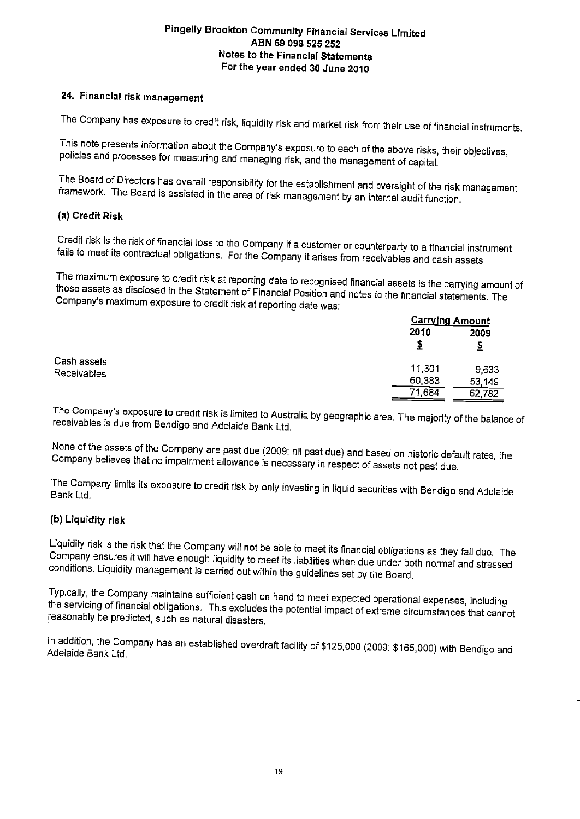## 24. Financial risk management

The Company has exposure to credit risk, liquidity risk and market risk from their use of financial instruments.

This note presents information about the Company's exposure to each of the above risks, their objectives, policies and processes for measuring and managing risk, and the management of capital.

The Board of Directors has overall responsibility for the establishment and oversight of the risk management framework. The Board is assisted in the area of risk management by an internal audit function.

#### (a) Credit Risk

Credit risk is the risk of financial loss to the Company if a customer or counterparty to a financial instrument fails to meet its contractual obligations. For the Company it arises from receivables and cash assets.

The maximum exposure to credit risk at reporting date to recognised financial assets is the carrying amount of those assets as disclosed in the Statement of Financial Position and notes to the financial statements. The Company's maximum exposure to credit risk at reporting date was:

|                            |           | <u>Carrying Amount</u> |  |
|----------------------------|-----------|------------------------|--|
|                            | 2010<br>2 | 2009                   |  |
| Cash assets<br>Receivables | 11,301    | 9,633                  |  |
|                            | 60,383    | 53,149                 |  |
|                            | 71,684    | 62,782                 |  |

The Company's exposure to credit risk is limited to Australia by geographic area. The majority of the balance of receivables is due from Bendigo and Adelaide Bank Ltd.

None of the assets of the Company are past due (2009: nil past due) and based on historic default rates, the Company believes that no impairment allowance is necessary in respect of assets not past due.

The Company limits its exposure to credit risk by only investing in liquid securities with Bendigo and Adelaide Bank Ltd.

#### (b) Liquidity risk

Liquidity risk is the risk that the Company will not be able to meet its financial obligations as they fall due. The Company ensures it will have enough liquidity to meet its liabilities when due under both normal and stressed conditions. Liquidity management is carried out within the guidelines set by the Board.

Typically, the Company maintains sufficient cash on hand to meet expected operational expenses, including the servicing of financial obligations. This excludes the potential impact of extreme circumstances that cannot reasonably be predicted, such as natural disasters.

In addition, the Company has an established overdraft facility of \$125,000 (2009: \$165,000) with Bendigo and Adelaide Bank Ltd.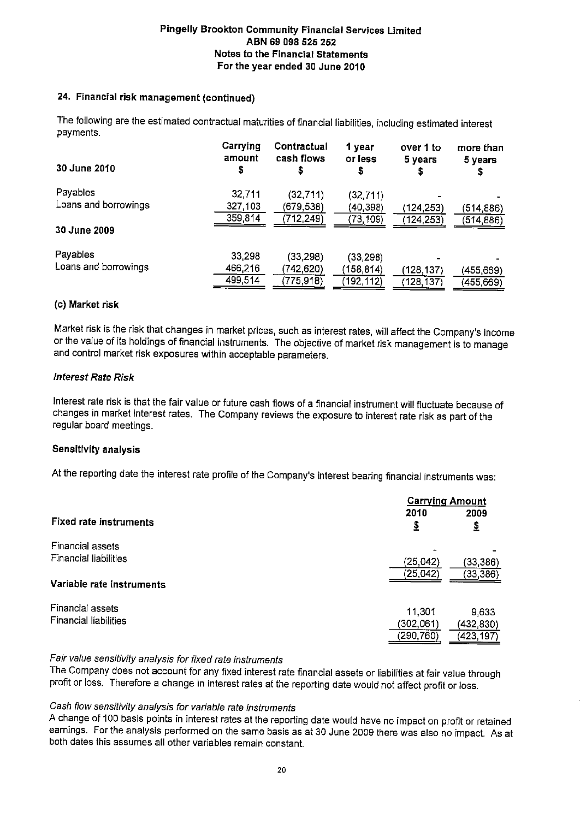#### 24. Financial risk management (continued)

The following are the estimated contractual maturities of financial liabilities, including estimated interest payments.

| amount<br>s | Contractual<br>cash flows | 1 year<br>or less<br>s | over 1 to<br>5 years    | more than<br>5 years |
|-------------|---------------------------|------------------------|-------------------------|----------------------|
| 32,711      | (32, 711)                 | (32, 711)              |                         |                      |
| 327,103     | (679,538)                 | (40,398)               | (124,253)               | (514,886)            |
| 359,814     | (712, 249)                | (73, 109)              | (124, 253)              | (514,886)            |
|             |                           |                        |                         |                      |
|             |                           |                        |                         |                      |
| 466,216     | 742,620)                  |                        |                         | (455, 669)           |
| 499,514     | (775,918)                 | 192, 112)              | (128,137)               | (455,669)            |
|             | Carrying<br>33,298        | (33, 298)              | (33, 298)<br>(158, 814) | (128,137)            |

#### (c) Market risk

Market risk is the risk that changes in market prices, such as interest rates, will affect the Company's income or the value of its holdings of financial instruments. The objective of market risk management is to manage and control market risk exposures within acceptable parameters.

#### **Interest Rate Risk**

Interest rate risk is that the fair value or future cash flows of a financial instrument will fluctuate because of changes in market interest rates. The Company reviews the exposure to interest rate risk as part of the regular board meetings.

#### **Sensitivity analysis**

At the reporting date the interest rate profile of the Company's interest bearing financial instruments was:

|                                                  | <b>Carrying Amount</b> |                     |
|--------------------------------------------------|------------------------|---------------------|
| <b>Fixed rate instruments</b>                    | 2010<br><u>\$</u>      | 2009<br>\$          |
| Financial assets<br>Financial liabilities        | (25, 042)              | (33, 386)           |
| Variable rate instruments                        | (25, 042)              | (33,386)            |
| Financial assets<br><b>Financial liabilities</b> | 11,301<br>(302,061)    | 9,633<br>(432, 830) |
|                                                  | (290,760)              | (423,197)           |

#### Fair value sensitivity analysis for fixed rate instruments

The Company does not account for any fixed interest rate financial assets or liabilities at fair value through profit or loss. Therefore a change in interest rates at the reporting date would not affect profit or loss.

#### Cash flow sensitivity analysis for variable rate instruments

A change of 100 basis points in interest rates at the reporting date would have no impact on profit or retained earnings. For the analysis performed on the same basis as at 30 June 2009 there was also no impact. As at both dates this assumes all other variables remain constant.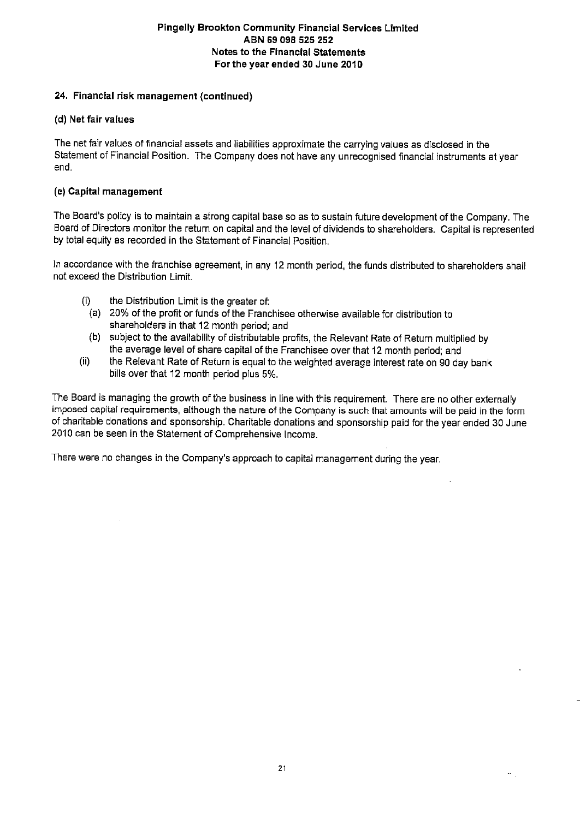#### 24. Financial risk management (continued)

#### (d) Net fair values

The net fair values of financial assets and liabilities approximate the carrying values as disclosed in the Statement of Financial Position. The Company does not have any unrecognised financial instruments at year end.

#### (e) Capital management

The Board's policy is to maintain a strong capital base so as to sustain future development of the Company. The Board of Directors monitor the return on capital and the level of dividends to shareholders. Capital is represented by total equity as recorded in the Statement of Financial Position.

In accordance with the franchise agreement, in any 12 month period, the funds distributed to shareholders shall not exceed the Distribution Limit.

- the Distribution Limit is the greater of:  $(i)$ 
	- (a) 20% of the profit or funds of the Franchisee otherwise available for distribution to shareholders in that 12 month period; and
- (b) subject to the availability of distributable profits, the Relevant Rate of Return multiplied by the average level of share capital of the Franchisee over that 12 month period; and
- the Relevant Rate of Return is equal to the weighted average interest rate on 90 day bank  $(ii)$ bills over that 12 month period plus 5%.

The Board is managing the growth of the business in line with this requirement. There are no other externally imposed capital requirements, although the nature of the Company is such that amounts will be paid in the form of charitable donations and sponsorship. Charitable donations and sponsorship paid for the year ended 30 June 2010 can be seen in the Statement of Comprehensive Income.

There were no changes in the Company's approach to capital management during the year.